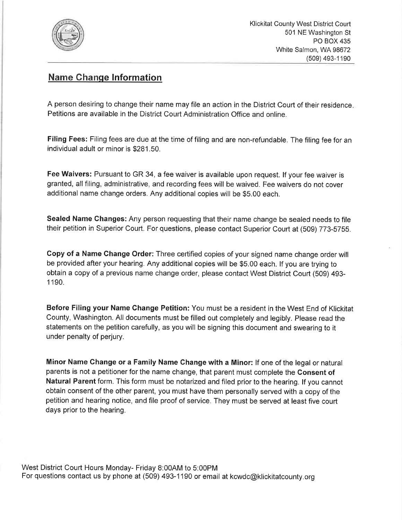

## Name Ghanqe lnformation

A person desiring to change their name may file an action in the District Court of their residence Petitions are available in the District Court Administration Office and online.

Filing Fees: Filing fees are due at the time of filing and are non-refundable. The filing fee for an individual adult or minor is \$281.50.

Fee Waivers: Pursuant to GR 34, a fee waiver is available upon request. lf your fee waiver is granted, all filing, administrative, and recording fees will be waived. Fee waivers do not cover additional name change orders. Any additional copies will be \$5.00 each.

Sealed Name Changes: Any person requesting that their name change be sealed needs to file their petition in Superior Court. For questions, please contact Superior Court at (509) 773-5755.

Copy of a Name Change Order: Three certified copies of your signed name change order will be provided after your hearing. Any additional copies will be \$5.00 each. lf you are trying to obtain a copy of a previous name change order, please contact West District Court (509) 493- 1190.

Before Filing your Name Change Petition: You must be a resident in the West End of Klickitat County, Washington. All documents must be filled out completely and legibly. Please read the statements on the petition carefully, as you will be signing this document and swearing to it under penalty of perjury.

Minor Name Change or a Family Name Change with a Minor: lf one of the legal or natural parents is not a petitioner for the name change, that parent must complete the Consent of Natural Parent form. This form must be notarized and filed prior to the hearing. lf you cannot obtain consent of the other parent, you must have them personally served with a copy of the petition and hearing notice, and file proof of service. They must be served at least five court days prior to the hearing.